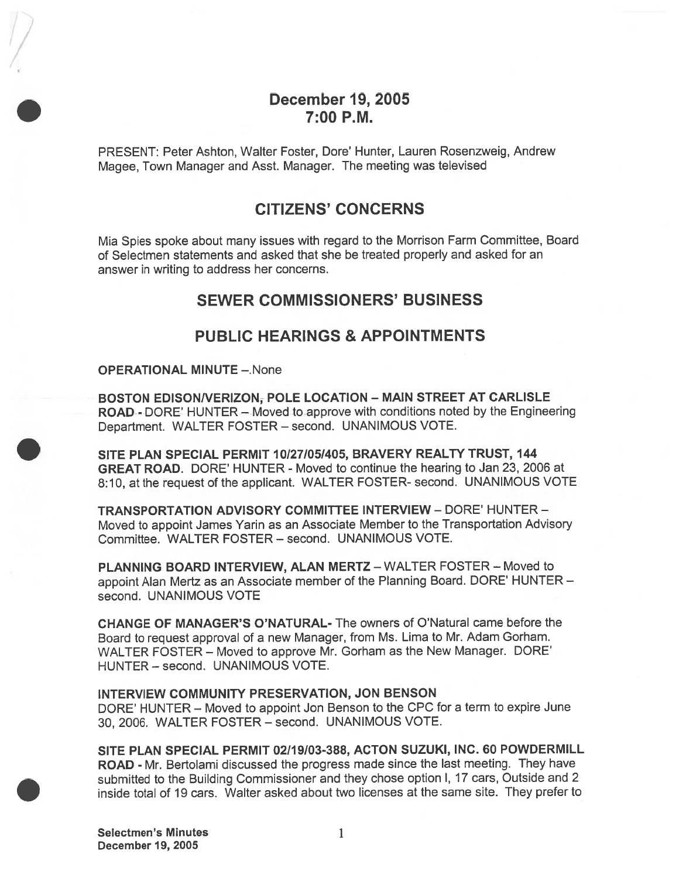## December 19, 2005 7:00 P.M.

PRESENT: Peter Ashton, Walter Foster, Dote' Hunter, Lauren Rosenzweig, Andrew Magee, Town Manager and Asst. Manager. The meeting was televised

## CITIZENS' CONCERNS

Mia Spies spoke about many issues with regard to the Morrison Farm Committee, Board of Selectmen statements and asked that she be treated properly and asked for an answer in writing to address her concerns.

## SEWER COMMISSIONERS' BUSINESS

## PUBLIC HEARINGS & APPOINTMENTS

OPERATIONAL MINUTE —.None

BOSTON EDISONNERIZON, POLE LOCATION — MAIN STREET AT CARLISLE ROAD - DORE' HUNTER — Moved to approve with conditions noted by the Engineering Department. WALTER FOSTER — second. UNANIMOUS VOTE.

SITE PLAN SPECIAL PERMIT 10/27/05/405, BRAVERY REALTY TRUST, 144 GREAT ROAD. DORE' HUNTER - Moved to continue the hearing to Jan 23, 2006 at 8:10, at the reques<sup>t</sup> of the applicant. WALTER FOSTER- second. UNANIMOUS VOTE

TRANSPORTATION ADVISORY COMMITTEE INTERVIEW -DORE' HUNTER - Moved to appoint James Yarin as an Associate Member to the Transportation Advisory Committee. WALTER FOSTER — second. UNANIMOUS VOTE.

PLANNING BOARD INTERVIEW, ALAN MERTZ — WALTER FOSTER — Moved to appoint Alan Mertz as an Associate member of the Planning Board. DORE' HUNTER second. UNANIMOUS VOTE

CHANGE OF MANAGER'S O'NATURAL- The owners of O'Natural came before the Board to reques<sup>t</sup> approva<sup>l</sup> of <sup>a</sup> new Manager, from Ms. Lima to Mr. Adam Gorham. WALTER FOSTER — Moved to approve Mr. Gotham as the New Manager. DORE' HUNTER — second. UNANIMOUS VOTE.

### INTERVIEW COMMUNITY PRESERVATION, JON BENSON

DORE' HUNTER — Moved to appoint Jon Benson to the CPC for <sup>a</sup> term to expire June 30, 2006. WALTER FOSTER — second. UNANIMOUS VOTE.

SITE PLAN SPECIAL PERMIT 02/19/03-388, ACTON SUZUKI, INC. 60 POWDERMILL ROAD - Mr. Bertolami discussed the progress made since the last meeting. They have submitted to the Building Commissioner and they chose option I, <sup>17</sup> cars, Outside and <sup>2</sup> inside total of 19 cars. Walter asked about two licenses at the same site. They prefer to

Selectmen's Minutes 1 December 19, 2005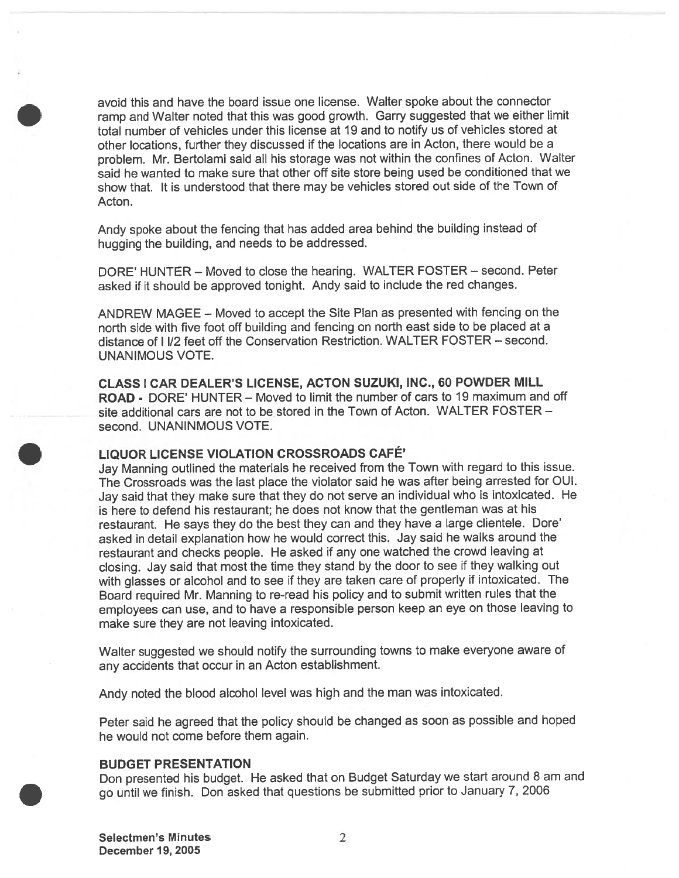avoid this and have the board issue one license. Walter spoke about the connector tamp and Walter noted that this was goo<sup>d</sup> growth. Garry suggested that we either limit total number of vehicles under this license at 19 and to notify us of vehicles stored at other locations, further they discussed if the locations are in Acton, there would be <sup>a</sup> problem. Mr. Bertolami said all his storage was not within the confines of Acton. Walter said he wanted to make sure that other off site store being used be conditioned that we show that. It is understood that there may be vehicles stored out side of the Town of Acton.

Andy spoke about the fencing that has added area behind the building instead of hugging the building, and needs to be addressed.

DORE' HUNTER – Moved to close the hearing. WALTER FOSTER – second. Peter asked if it should be approved tonight. Andy said to include the red changes.

ANDREW MAGEE — Moved to accep<sup>t</sup> the Site Plan as presented with fencing on the north side with five foot off building and fencing on north east side to be <sup>p</sup>laced at <sup>a</sup> distance of I 1/2 feet off the Conservation Restriction. WALTER FOSTER — second. UNANIMOUS VOTE.

CLASS I CAR DEALER'S LICENSE, ACTON SUZUKI, INC., 60 POWDER MILL ROAD - DORE' HUNTER — Moved to limit the number of cars to 19 maximum and off site additional cars are not to be stored in the Town of Acton. WALTER FOSTER second. UNANINMOUS VOTE.

### LIQUOR LICENSE VIOLATION CROSSROADS CAFÉ'

Jay Manning outlined the materials he received from the Town with regar<sup>d</sup> to this issue. The Crossroads was the last <sup>p</sup>lace the violator said he was after being arrested for OUI. Jay said that they make sure that they do not serve an individual who is intoxicated. He is here to defend his restaurant; he does not know that the gentleman was at his restaurant. He says they do the best they can and they have <sup>a</sup> large clientele. Dore' asked in detail explanation how he would correct this. Jay said he walks around the restaurant and checks people. He asked if any one watched the crowd leaving at closing. Jay said that most the time they stand by the door to see if they walking out with <sup>g</sup>lasses or alcohol and to see if they are taken care of properly if intoxicated. The Board required Mr. Manning to re-read his policy and to submit written rules that the employees can use, and to have <sup>a</sup> responsible person keep an eye on those leaving to make sure they are not leaving intoxicated.

Walter suggested we should notify the surrounding towns to make everyone aware of any accidents that occur in an Acton establishment.

Andy noted the blood alcohol level was high and the man was intoxicated.

Peter said he agree<sup>d</sup> that the policy should be changed as soon as possible and hoped he would not come before them again.

#### BUDGET PRESENTATION

Don presented his budget. He asked that on Budget Saturday we start around <sup>8</sup> am and go until we finish. Don asked that questions be submitted prior to January 7, <sup>2006</sup>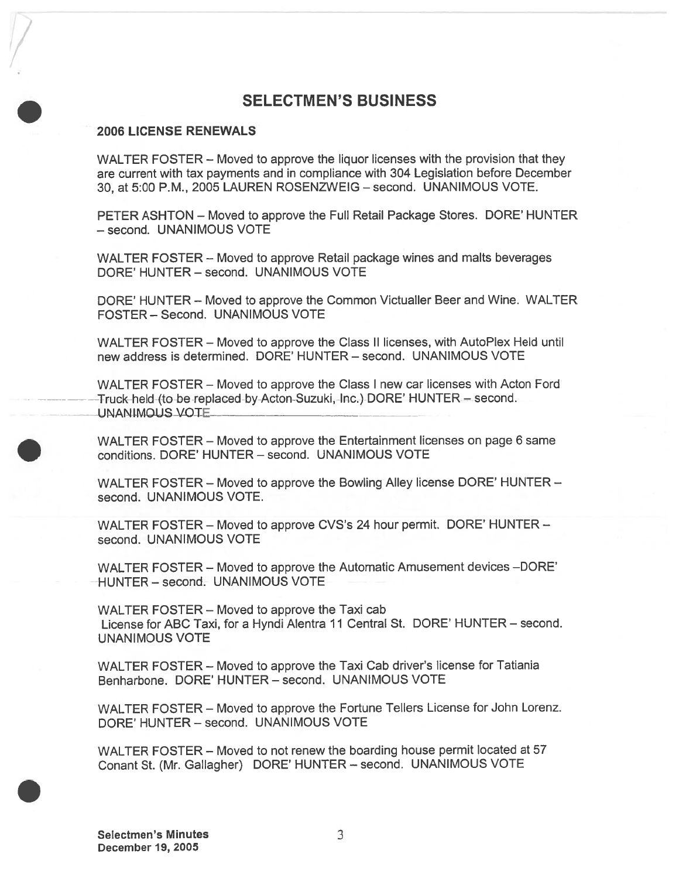## SELECTMEN'S BUSINESS

### 2006 LICENSE RENEWALS

WALTER FOSTER — Moved to approve the liquor licenses with the provision that they are current with tax payments and in compliance with 304 Legislation before December 30, at 5:00 P.M., 2005 LAUREN ROSENZWEIG — second. UNANIMOUS VOTE.

PETER ASHTON — Moved to approve the Full Retail Package Stores. DORE' HUNTER — second. UNANIMOUS VOTE

WALTER FOSTER — Moved to approve Retail package wines and malts beverages DORE' HUNTER — second. UNANIMOUS VOTE

DORE' HUNTER — Moved to approve the Common Victualler Beer and Wine. WALTER FOSTER — Second. UNANIMOUS VOTE

WALTER FOSTER — Moved to approve the Class II licenses, with AutoPlex Held until new address is determined. DORE' HUNTER — second. UNANIMOUS VOTE

WALTER FOSTER — Moved to approve the Class <sup>I</sup> new car licenses with Acton Ford Truck-held-(to-be-replaced-by-Acton-Suzuki, Inc.) DORE' HUNTER — second. UNANIMOUS VOTE

WALTER FOSTER — Moved to approve the Entertainment licenses on page 6 same conditions. DORE' HUNTER — second. UNANIMOUS VOTE

WALTER FOSTER — Moved to approve the Bowling Alley license DORE' HUNTER second. UNANIMOUS VOTE.

WALTER FOSTER — Moved to approve CVS's 24 hour permit. DORE' HUNTER second. UNANIMOUS VOTE

WALTER FOSTER — Moved to approve the Automatic Amusement devices —DORE' HUNTER — second. UNANIMOUS VOTE

WALTER FOSTER — Moved to approve the Taxi cab License for ABC Taxi, for <sup>a</sup> Hyndi Alentra 11 Central St. DORE' HUNTER — second. UNANIMOUS VOTE

WALTER FOSTER — Moved to approve the Taxi Cab driver's license for Tatiania Benharbone. DORE' HUNTER — second. UNANIMOUS VOTE

WALTER FOSTER — Moved to approve the Fortune Tellers License for John Lorenz. DORE' HUNTER — second. UNANIMOUS VOTE

WALTER FOSTER — Moved to not renew the boarding house permit located at 57 Conant St. (Mr. Gallagher) DORE' HUNTER — second. UNANIMOUS VOTE

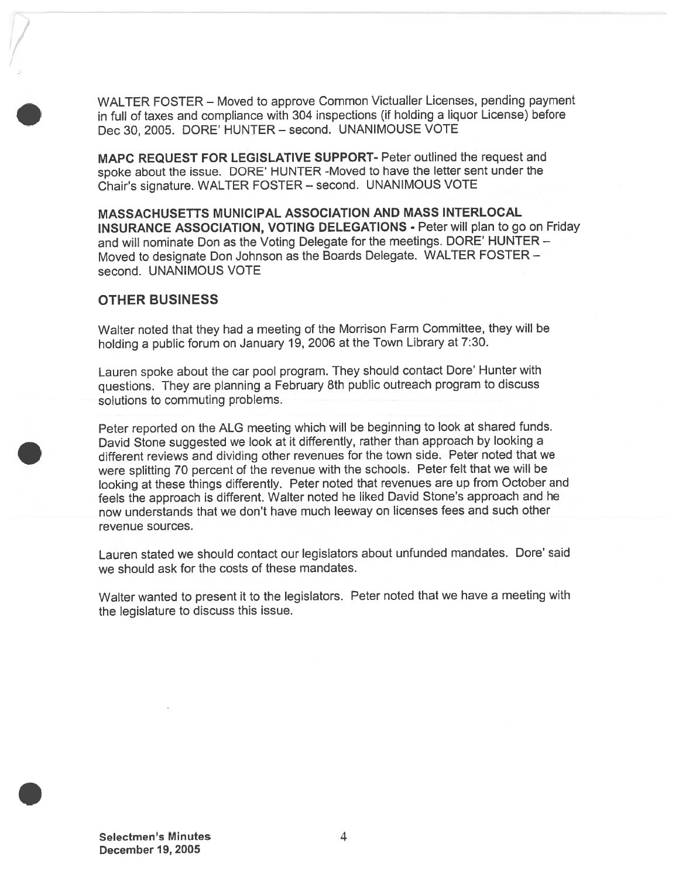WALTER FOSTER — Moved to approve Common Victualler Licenses, pending paymen<sup>t</sup> in full of taxes and compliance with <sup>304</sup> inspections (if holding <sup>a</sup> liquor License) before Dec 30, 2005. DORE' HUNTER — second. UNANIMOUSE VOTE

MAPC REQUEST FOR LEGISLATIVE SUPPORT- Peter outlined the reques<sup>t</sup> and spoke about the issue. DORE' HUNTER -Moved to have the letter sent under the Chair's signature. WALTER FOSTER — second. UNANIMOUS VOTE

MASSACHUSETTS MUNICIPAL ASSOCIATION AND MASS INTERLOCAL INSURANCE ASSOCIATION, VOTING DELEGATIONS - Peter will plan to go on Friday and will nominate Don as the Voting Delegate for the meetings. DORE' HUNTER — Moved to designate Don Johnson as the Boards Delegate. WALTER FOSTER second. UNANIMOUS VOTE

### OTHER BUSINESS

Walter noted that they had <sup>a</sup> meeting of the Morrison Farm Committee, they will be holding <sup>a</sup> public forum on January 19, <sup>2006</sup> at the Town Library at 7:30.

Lauren spoke about the car poo<sup>l</sup> program. They should contact Dore' Hunter with questions. They are <sup>p</sup>lanning <sup>a</sup> February 8th public outreach program to discuss solutions to commuting problems.

Peter reported on the ALG meeting which will be beginning to look at shared funds. David Stone suggested we look at it differently, rather than approach by looking a different reviews and dividing other revenues for the town side. Peter noted that we were splitting <sup>70</sup> percen<sup>t</sup> of the revenue with the schools. Peter felt that we will be looking at these things differently. Peter noted that revenues are up from October and feels the approac<sup>h</sup> is different. Walter noted he liked David Stone's approac<sup>h</sup> and he now understands that we don't have much leeway on licenses fees and such other revenue sources.

Lauren stated we should contact our legislators about unfunded mandates. Dore' said we should ask for the costs of these mandates.

Walter wanted to presen<sup>t</sup> it to the legislators. Peter noted that we have <sup>a</sup> meeting with the legislature to discuss this issue.

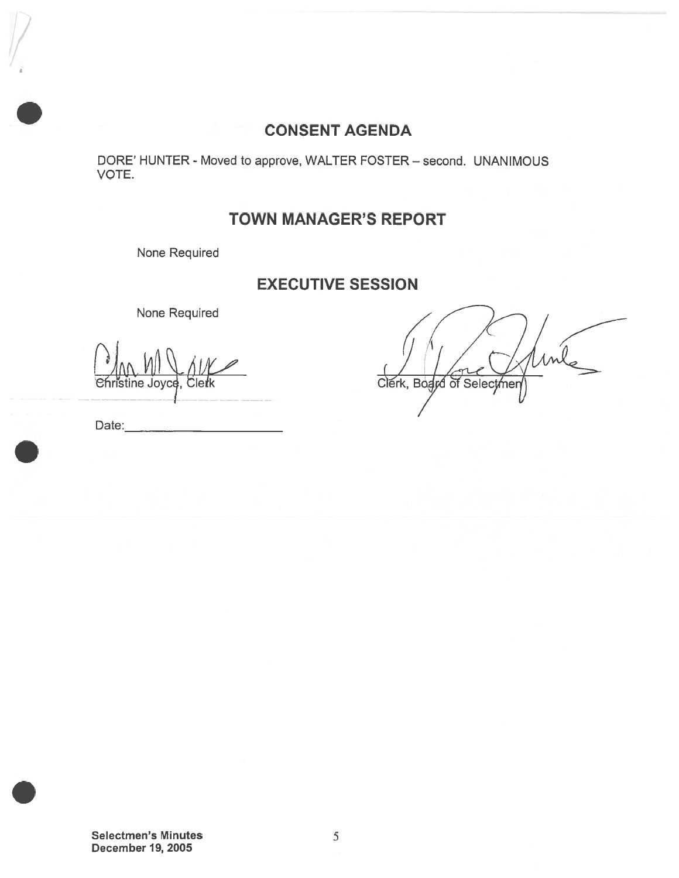## CONSENT AGENDA

DORE' HUNTER - Moved to approve, WALTER FOSTER — second. UNANIMOUS VOTE.

## TOWN MANAGER'S REPORT

None Required

## EXECUTIVE SESSION

None Required

 $\mathcal{L}$ istine Jovce  $\mathcal{W}^{\prime}$ <u>JII \\\_ /| |/<br>Joyce, Cletk</u>

Clerk, Board of Selectmen

Date:

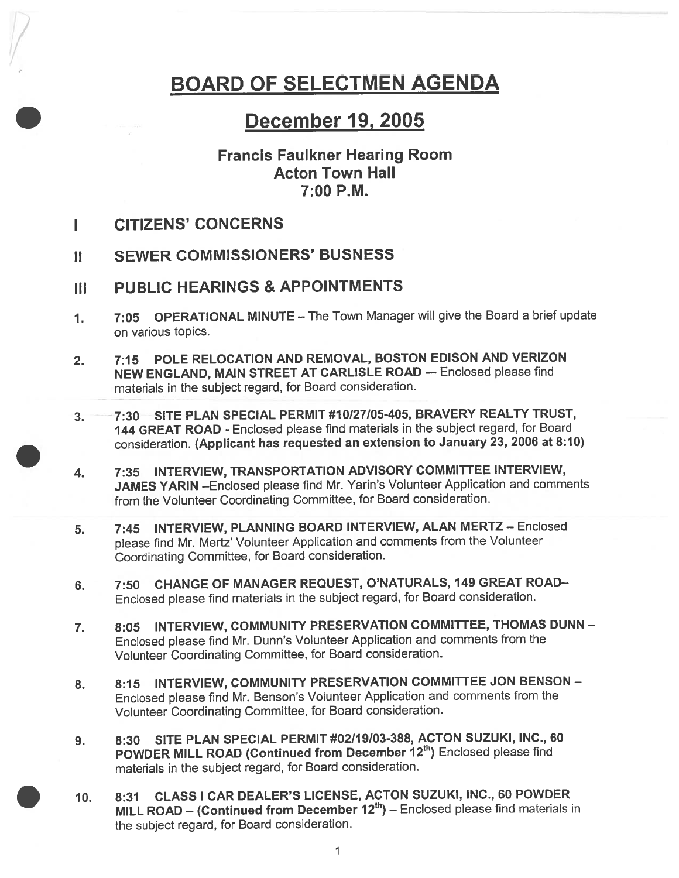# BOARD OF SELECTMEN AGENDA

## December 19, 2005

## Francis Faulkner Hearing Room Acton Town Hall 7:00 P.M.

- I CITIZENS' CONCERNS
- II SEWER COMMISSIONERS' BUSNESS
- III PUBLIC HEARINGS & APPOINTMENTS
- 1. 7:05 OPERATIONAL MINUTE The Town Manager will give the Board <sup>a</sup> brief update on various topics.
- 2. 7:15 POLE RELOCATION AND REMOVAL, BOSTON EDISON AND VERIZON NEW ENGLAND, MAIN STREET AT CARLISLE ROAD — Enclosed <sup>p</sup>lease find materials in the subject regard, for Board consideration.
- 3. 7:30 SITE PLAN SPECIAL PERMIT #10/27/05-405, BRAVERY REALTY TRUST, <sup>144</sup> GREAT ROAD - Enclosed <sup>p</sup>lease find materials in the subject regard, for Board consideration. (Applicant has requested an extension to January 23, 2006 at 8:10)
- 4. 7:35 INTERVIEW, TRANSPORTATION ADVISORY COMMITTEE INTERVIEW, JAMES YARIN —Enclosed <sup>p</sup>lease find Mr. Yarin's Volunteer Application and comments from the Volunteer Coordinating Committee, for Board consideration.
- 5. 7:45 INTERVIEW, PLANNING BOARD INTERVIEW, ALAN MERTZ Enclosed <sup>p</sup>lease find Mr. Mertz' Volunteer Application and comments from the Volunteer Coordinating Committee, for Board consideration.
- 6. 7:50 CHANGE OF MANAGER REQUEST, O'NATURALS, 149 GREAT ROAD-Enclosed <sup>p</sup>lease find materials in the subject regard, for Board consideration.
- 7. 8:05 INTERVIEW, COMMUNITY PRESERVATION COMMITTEE, THOMAS DUNN-Enclosed <sup>p</sup>lease find Mr. Dunn's Volunteer Application and comments from the Volunteer Coordinating Committee, for Board consideration.
- 8. 8:15 INTERVIEW, COMMUNITY PRESERVATION COMMITTEE JON BENSON -Enclosed <sup>p</sup>lease find Mr. Benson's Volunteer Application and comments from the Volunteer Coordinating Committee, for Board consideration.
- 9. 8:30 SITE PLAN SPECIAL PERMIT #02119103-388, ACTON SUZUKI, INC., 60 POWDER MILL ROAD (Continued from December 12<sup>th</sup>) Enclosed please find materials in the subject regard, for Board consideration.
- 10. 8:31 CLASS <sup>I</sup> CAR DEALER'S LICENSE, ACTON SUZUKI, INC., 60 POWDER MILL ROAD – (Continued from December  $12<sup>th</sup>$ ) – Enclosed please find materials in the subject regard, for Board consideration.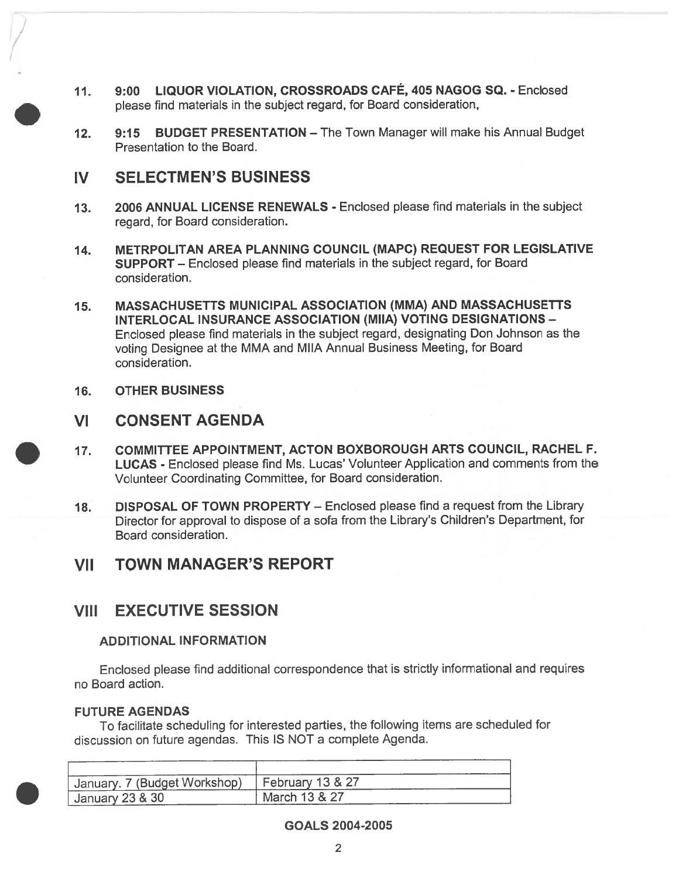- 11. 9:00 LIQUOR VIOLATION, CROSSROADS CAFÉ, <sup>405</sup> NAGOG SQ. Enclosed <sup>p</sup>lease find materials in the subject regard, for Board consideration,
- 12. 9:15 BUDGET PRESENTATION The Town Manager will make his Annual Budget Presentation to the Board.

### IV SELECTMEN'S BUSINESS

- 13. 2006 ANNUAL LICENSE RENEWALS Enclosed please find materials in the subject regard, for Board consideration.
- 14. METRPOLITAN AREA PLANNING COUNCIL (MAPC) REQUEST FOR LEGISLATIVE SUPPORT — Enclosed please find materials in the subject regard, for Board consideration.
- 15. MASSACHUSETTS MUNICIPAL ASSOCIATION (MMA) AND MASSACHUSETTS INTERLOCAL INSURANCE ASSOCIATION (MIIA) VOTING DESIGNATIONS — Enclosed <sup>p</sup>lease find materials in the subject regard, designating Don Johnson as the voting Designee at the MMA and MIIA Annual Business Meeting, for Board consideration.
- 16. OTHER BUSINESS

## VI CONSENT AGENDA

- 17. COMMITTEE APPOINTMENT, ACTON BOXBOROUGH ARTS COUNCIL, RACHEL F. LUCAS - Enclosed <sup>p</sup>lease find Ms. Lucas' Volunteer Application and comments from the Volunteer Coordinating Committee, for Board consideration.
- 18. DISPOSAL OF TOWN PROPERTY Enclosed please find a request from the Library Director for approval to dispose of <sup>a</sup> sofa from the Library's Children's Department, for Board consideration.

## VII TOWN MANAGER'S REPORT

## VIII EXECUTIVE SESSION

### ADDITIONAL INFORMATION

Enclosed please find additional correspondence that is strictly informational and requires no Board action.

### FUTURE AGENDAS

To facilitate scheduling for interested parties, the following items are scheduled for discussion on future agendas. This IS NOT <sup>a</sup> complete Agenda.

| Uanuary. 7 (Budget Workshop)   February 13 & 27 |               |
|-------------------------------------------------|---------------|
| $\frac{1}{2}$ January 23 & 30                   | March 13 & 27 |

### GOALS 2004-2005